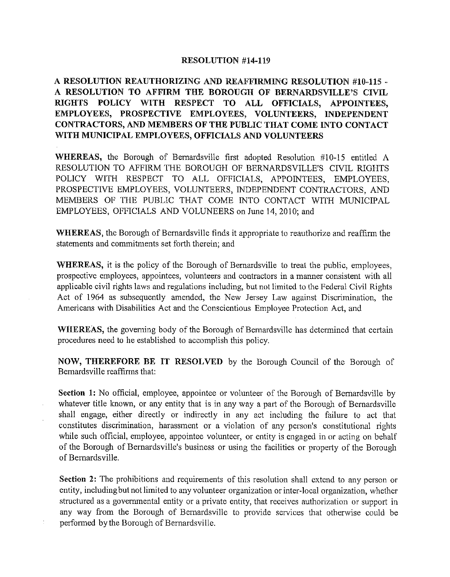## **RESOLUTION #14-119**

## **A RESOLUTION REAUTHORIZING AND REAFFIRMING RESOLUTION #10-115** - **A RESOLUTION TO AFFIRM THE BOROUGH OF BERNARDSVILLE'S CIVIL RIGHTS POLICY WITH RESPECT TO ALL OFFICIALS, APPOINTEES, EMPLOYEES, PROSPECTIVE EMPLOYEES, VOLUNTEERS, INDEPENDENT CONTRACTORS, AND MEMBERS OF THE PUBLIC THAT COME INTO CONTACT WITH MUNICIPAL EMPLOYEES, OFFICIALS AND VOLUNTEERS**

**WHEREAS,** the Borough of Bernardsville first adopted Resolution #10-15 entitled A RESOLUTION TO AFFIRM THE BOROUGH OF BERNARDSVILLE'S CIVIL RIGHTS POLICY WITH RESPECT TO ALL OFFICIALS, APPOINTEES, EMPLOYEES, PROSPECTIVE EMPLOYEES, VOLUNTEERS, INDEPENDENT CONTRACTORS, AND MEMBERS OF THE PUBLIC THAT COME INTO CONTACT WITH MUNICIPAL EMPLOYEES, OFFICIALS AND VOLUNEERS on June 14, 2010; and

**WHEREAS,** the Borough of Bernardsville finds it appropriate to reauthorize and reaffirm the statements and commitments set forth therein; and

**WHEREAS,** it is the policy of the Borough of Bernardsville to treat the public, employees, prospective employees, appointees, volunteers and contractors in a manner consistent with all applicable civil rights laws and regulations including, but not limited to the Federal Civil Rights Act of 1964 as subsequently amended, the New Jersey Law against Discrimination, the Americans with Disabilities Act and the Conscientious Employee Protection Act, and

**WHEREAS,** the governing body of the Borough of Bernardsville has determined that certain procedures need to he established to accomplish this policy.

**NO\V, THEREFORE BE IT RESOLVED** by the Borough Council of the Borough of Bernardsville reaffirms that:

**Section 1:** No official, employee, appointee or volunteer of the Borough of Bernardsville by whatever title known, or any entity that is in any way a part of the Borough of Bernardsville shall engage, either directly or indirectly in any act including the failure to act that constitutes discrimination, harassment or a violation of any person's constitutional rights while such official, employee, appointee volunteer, or entity is engaged in or acting on behalf of the Borough of Bernardsville's business or using the facilities or property of the Borough of Bernardsville.

**Section 2:** The prohibitions and requirements of this resolution shall extend to any person or entity, including but not limited to any volunteer organization or inter-local organization, whether structured as a governmental entity or a private entity, that receives authorization or support in any way from the Borough of Bernardsville to provide services that otherwise could be performed by the Borough of Bernardsville.